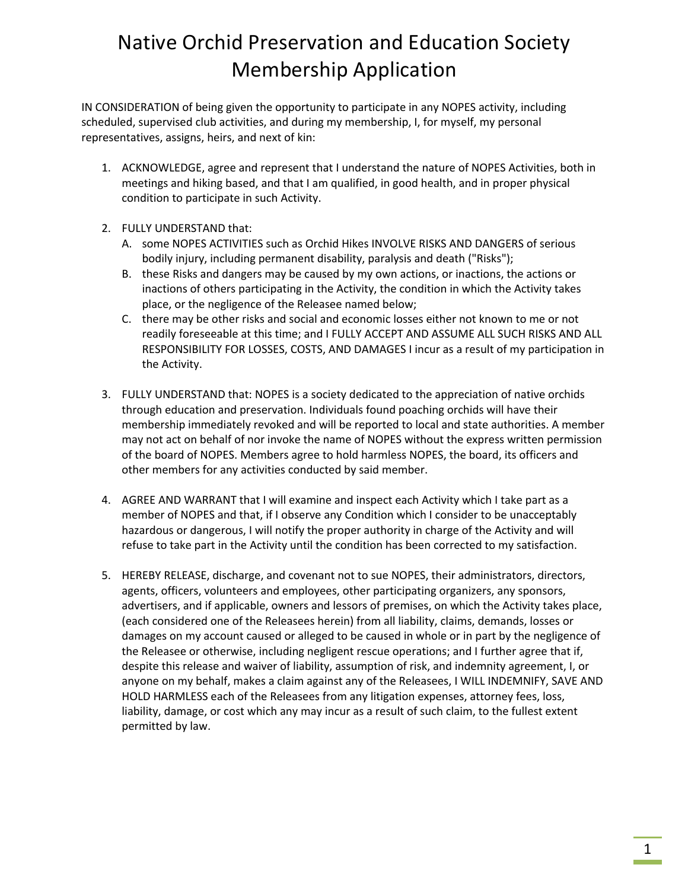## Native Orchid Preservation and Education Society Membership Application

IN CONSIDERATION of being given the opportunity to participate in any NOPES activity, including scheduled, supervised club activities, and during my membership, I, for myself, my personal representatives, assigns, heirs, and next of kin:

- 1. ACKNOWLEDGE, agree and represent that I understand the nature of NOPES Activities, both in meetings and hiking based, and that I am qualified, in good health, and in proper physical condition to participate in such Activity.
- 2. FULLY UNDERSTAND that:
	- A. some NOPES ACTIVITIES such as Orchid Hikes INVOLVE RISKS AND DANGERS of serious bodily injury, including permanent disability, paralysis and death ("Risks");
	- B. these Risks and dangers may be caused by my own actions, or inactions, the actions or inactions of others participating in the Activity, the condition in which the Activity takes place, or the negligence of the Releasee named below;
	- C. there may be other risks and social and economic losses either not known to me or not readily foreseeable at this time; and I FULLY ACCEPT AND ASSUME ALL SUCH RISKS AND ALL RESPONSIBILITY FOR LOSSES, COSTS, AND DAMAGES I incur as a result of my participation in the Activity.
- 3. FULLY UNDERSTAND that: NOPES is a society dedicated to the appreciation of native orchids through education and preservation. Individuals found poaching orchids will have their membership immediately revoked and will be reported to local and state authorities. A member may not act on behalf of nor invoke the name of NOPES without the express written permission of the board of NOPES. Members agree to hold harmless NOPES, the board, its officers and other members for any activities conducted by said member.
- 4. AGREE AND WARRANT that I will examine and inspect each Activity which I take part as a member of NOPES and that, if I observe any Condition which I consider to be unacceptably hazardous or dangerous, I will notify the proper authority in charge of the Activity and will refuse to take part in the Activity until the condition has been corrected to my satisfaction.
- 5. HEREBY RELEASE, discharge, and covenant not to sue NOPES, their administrators, directors, agents, officers, volunteers and employees, other participating organizers, any sponsors, advertisers, and if applicable, owners and lessors of premises, on which the Activity takes place, (each considered one of the Releasees herein) from all liability, claims, demands, losses or damages on my account caused or alleged to be caused in whole or in part by the negligence of the Releasee or otherwise, including negligent rescue operations; and I further agree that if, despite this release and waiver of liability, assumption of risk, and indemnity agreement, I, or anyone on my behalf, makes a claim against any of the Releasees, I WILL INDEMNIFY, SAVE AND HOLD HARMLESS each of the Releasees from any litigation expenses, attorney fees, loss, liability, damage, or cost which any may incur as a result of such claim, to the fullest extent permitted by law.